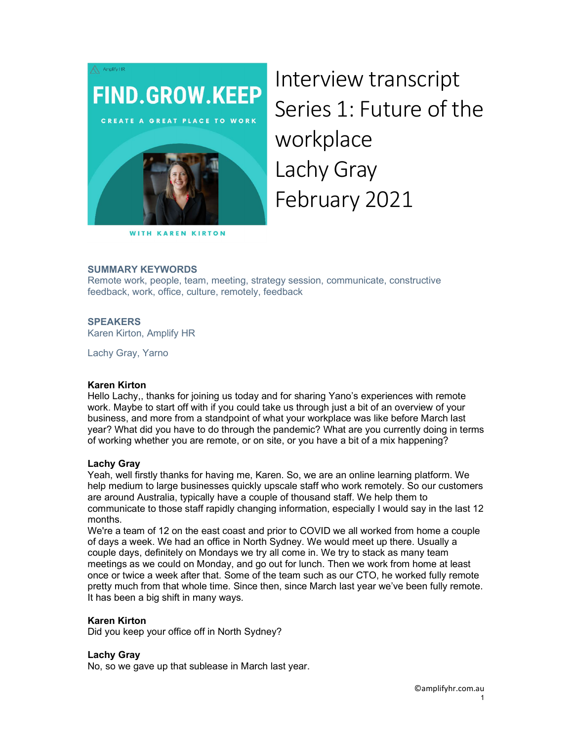

**WITH KAREN KIRTON** 

Interview transcript Series 1: Future of the workplace Lachy Gray February 2021

## SUMMARY KEYWORDS

Remote work, people, team, meeting, strategy session, communicate, constructive feedback, work, office, culture, remotely, feedback

## SPEAKERS

Karen Kirton, Amplify HR

Lachy Gray, Yarno

#### Karen Kirton

Hello Lachy,, thanks for joining us today and for sharing Yano's experiences with remote work. Maybe to start off with if you could take us through just a bit of an overview of your business, and more from a standpoint of what your workplace was like before March last year? What did you have to do through the pandemic? What are you currently doing in terms of working whether you are remote, or on site, or you have a bit of a mix happening?

# Lachy Gray

Yeah, well firstly thanks for having me, Karen. So, we are an online learning platform. We help medium to large businesses quickly upscale staff who work remotely. So our customers are around Australia, typically have a couple of thousand staff. We help them to communicate to those staff rapidly changing information, especially I would say in the last 12 months.

We're a team of 12 on the east coast and prior to COVID we all worked from home a couple of days a week. We had an office in North Sydney. We would meet up there. Usually a couple days, definitely on Mondays we try all come in. We try to stack as many team meetings as we could on Monday, and go out for lunch. Then we work from home at least once or twice a week after that. Some of the team such as our CTO, he worked fully remote pretty much from that whole time. Since then, since March last year we've been fully remote. It has been a big shift in many ways.

#### Karen Kirton

Did you keep your office off in North Sydney?

#### Lachy Gray

No, so we gave up that sublease in March last year.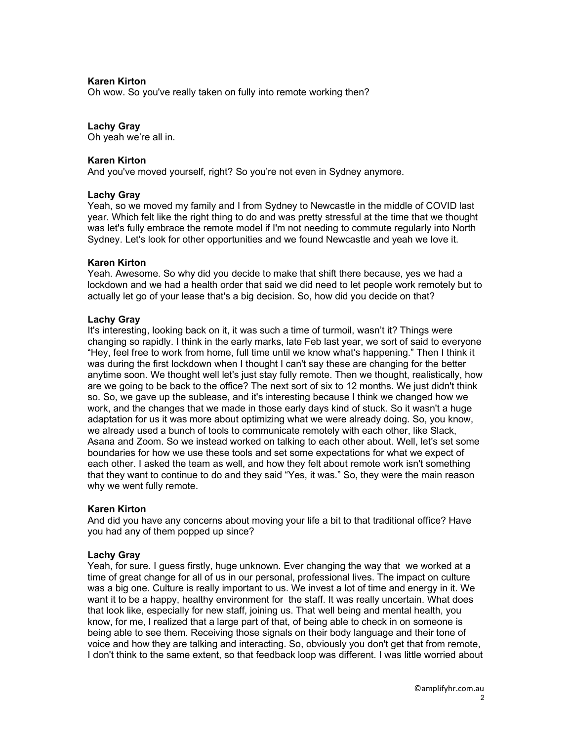### Karen Kirton

Oh wow. So you've really taken on fully into remote working then?

# Lachy Gray

Oh yeah we're all in.

#### Karen Kirton

And you've moved yourself, right? So you're not even in Sydney anymore.

#### Lachy Gray

Yeah, so we moved my family and I from Sydney to Newcastle in the middle of COVID last year. Which felt like the right thing to do and was pretty stressful at the time that we thought was let's fully embrace the remote model if I'm not needing to commute regularly into North Sydney. Let's look for other opportunities and we found Newcastle and yeah we love it.

#### Karen Kirton

Yeah. Awesome. So why did you decide to make that shift there because, yes we had a lockdown and we had a health order that said we did need to let people work remotely but to actually let go of your lease that's a big decision. So, how did you decide on that?

#### Lachy Gray

It's interesting, looking back on it, it was such a time of turmoil, wasn't it? Things were changing so rapidly. I think in the early marks, late Feb last year, we sort of said to everyone "Hey, feel free to work from home, full time until we know what's happening." Then I think it was during the first lockdown when I thought I can't say these are changing for the better anytime soon. We thought well let's just stay fully remote. Then we thought, realistically, how are we going to be back to the office? The next sort of six to 12 months. We just didn't think so. So, we gave up the sublease, and it's interesting because I think we changed how we work, and the changes that we made in those early days kind of stuck. So it wasn't a huge adaptation for us it was more about optimizing what we were already doing. So, you know, we already used a bunch of tools to communicate remotely with each other, like Slack, Asana and Zoom. So we instead worked on talking to each other about. Well, let's set some boundaries for how we use these tools and set some expectations for what we expect of each other. I asked the team as well, and how they felt about remote work isn't something that they want to continue to do and they said "Yes, it was." So, they were the main reason why we went fully remote.

#### Karen Kirton

And did you have any concerns about moving your life a bit to that traditional office? Have you had any of them popped up since?

#### Lachy Gray

Yeah, for sure. I guess firstly, huge unknown. Ever changing the way that we worked at a time of great change for all of us in our personal, professional lives. The impact on culture was a big one. Culture is really important to us. We invest a lot of time and energy in it. We want it to be a happy, healthy environment for the staff. It was really uncertain. What does that look like, especially for new staff, joining us. That well being and mental health, you know, for me, I realized that a large part of that, of being able to check in on someone is being able to see them. Receiving those signals on their body language and their tone of voice and how they are talking and interacting. So, obviously you don't get that from remote, I don't think to the same extent, so that feedback loop was different. I was little worried about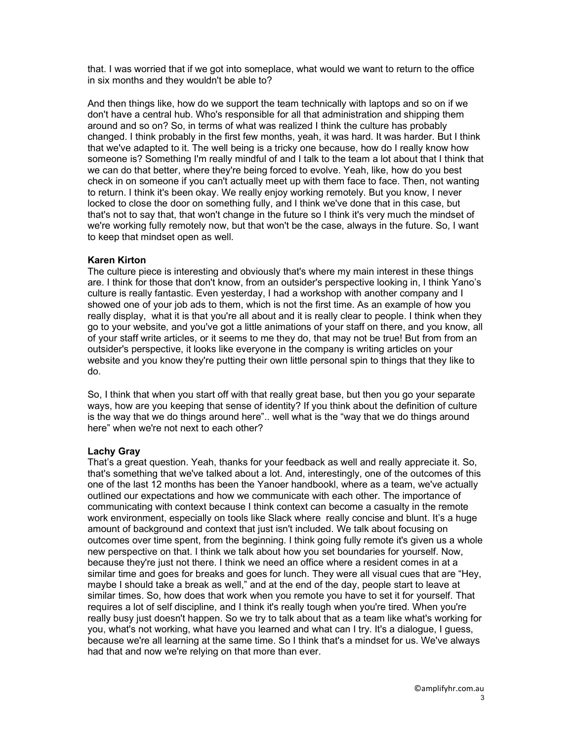that. I was worried that if we got into someplace, what would we want to return to the office in six months and they wouldn't be able to?

And then things like, how do we support the team technically with laptops and so on if we don't have a central hub. Who's responsible for all that administration and shipping them around and so on? So, in terms of what was realized I think the culture has probably changed. I think probably in the first few months, yeah, it was hard. It was harder. But I think that we've adapted to it. The well being is a tricky one because, how do I really know how someone is? Something I'm really mindful of and I talk to the team a lot about that I think that we can do that better, where they're being forced to evolve. Yeah, like, how do you best check in on someone if you can't actually meet up with them face to face. Then, not wanting to return. I think it's been okay. We really enjoy working remotely. But you know, I never locked to close the door on something fully, and I think we've done that in this case, but that's not to say that, that won't change in the future so I think it's very much the mindset of we're working fully remotely now, but that won't be the case, always in the future. So, I want to keep that mindset open as well.

## Karen Kirton

The culture piece is interesting and obviously that's where my main interest in these things are. I think for those that don't know, from an outsider's perspective looking in, I think Yano's culture is really fantastic. Even yesterday, I had a workshop with another company and I showed one of your job ads to them, which is not the first time. As an example of how you really display, what it is that you're all about and it is really clear to people. I think when they go to your website, and you've got a little animations of your staff on there, and you know, all of your staff write articles, or it seems to me they do, that may not be true! But from from an outsider's perspective, it looks like everyone in the company is writing articles on your website and you know they're putting their own little personal spin to things that they like to do.

So, I think that when you start off with that really great base, but then you go your separate ways, how are you keeping that sense of identity? If you think about the definition of culture is the way that we do things around here".. well what is the "way that we do things around here" when we're not next to each other?

#### Lachy Gray

That's a great question. Yeah, thanks for your feedback as well and really appreciate it. So, that's something that we've talked about a lot. And, interestingly, one of the outcomes of this one of the last 12 months has been the Yanoer handbookl, where as a team, we've actually outlined our expectations and how we communicate with each other. The importance of communicating with context because I think context can become a casualty in the remote work environment, especially on tools like Slack where really concise and blunt. It's a huge amount of background and context that just isn't included. We talk about focusing on outcomes over time spent, from the beginning. I think going fully remote it's given us a whole new perspective on that. I think we talk about how you set boundaries for yourself. Now, because they're just not there. I think we need an office where a resident comes in at a similar time and goes for breaks and goes for lunch. They were all visual cues that are "Hey, maybe I should take a break as well," and at the end of the day, people start to leave at similar times. So, how does that work when you remote you have to set it for yourself. That requires a lot of self discipline, and I think it's really tough when you're tired. When you're really busy just doesn't happen. So we try to talk about that as a team like what's working for you, what's not working, what have you learned and what can I try. It's a dialogue, I guess, because we're all learning at the same time. So I think that's a mindset for us. We've always had that and now we're relying on that more than ever.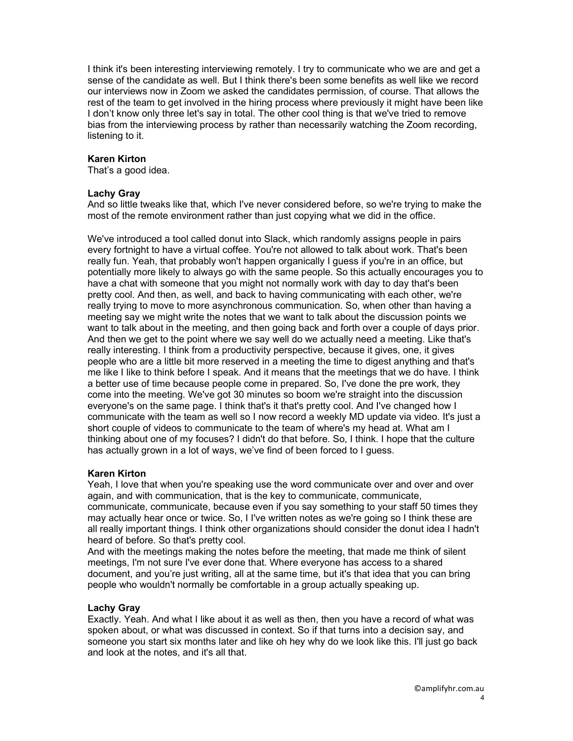I think it's been interesting interviewing remotely. I try to communicate who we are and get a sense of the candidate as well. But I think there's been some benefits as well like we record our interviews now in Zoom we asked the candidates permission, of course. That allows the rest of the team to get involved in the hiring process where previously it might have been like I don't know only three let's say in total. The other cool thing is that we've tried to remove bias from the interviewing process by rather than necessarily watching the Zoom recording, listening to it.

### Karen Kirton

That's a good idea.

#### Lachy Gray

And so little tweaks like that, which I've never considered before, so we're trying to make the most of the remote environment rather than just copying what we did in the office.

We've introduced a tool called donut into Slack, which randomly assigns people in pairs every fortnight to have a virtual coffee. You're not allowed to talk about work. That's been really fun. Yeah, that probably won't happen organically I guess if you're in an office, but potentially more likely to always go with the same people. So this actually encourages you to have a chat with someone that you might not normally work with day to day that's been pretty cool. And then, as well, and back to having communicating with each other, we're really trying to move to more asynchronous communication. So, when other than having a meeting say we might write the notes that we want to talk about the discussion points we want to talk about in the meeting, and then going back and forth over a couple of days prior. And then we get to the point where we say well do we actually need a meeting. Like that's really interesting. I think from a productivity perspective, because it gives, one, it gives people who are a little bit more reserved in a meeting the time to digest anything and that's me like I like to think before I speak. And it means that the meetings that we do have. I think a better use of time because people come in prepared. So, I've done the pre work, they come into the meeting. We've got 30 minutes so boom we're straight into the discussion everyone's on the same page. I think that's it that's pretty cool. And I've changed how I communicate with the team as well so I now record a weekly MD update via video. It's just a short couple of videos to communicate to the team of where's my head at. What am I thinking about one of my focuses? I didn't do that before. So, I think. I hope that the culture has actually grown in a lot of ways, we've find of been forced to I guess.

#### Karen Kirton

Yeah, I love that when you're speaking use the word communicate over and over and over again, and with communication, that is the key to communicate, communicate, communicate, communicate, because even if you say something to your staff 50 times they may actually hear once or twice. So, I I've written notes as we're going so I think these are all really important things. I think other organizations should consider the donut idea I hadn't heard of before. So that's pretty cool.

And with the meetings making the notes before the meeting, that made me think of silent meetings, I'm not sure I've ever done that. Where everyone has access to a shared document, and you're just writing, all at the same time, but it's that idea that you can bring people who wouldn't normally be comfortable in a group actually speaking up.

#### Lachy Gray

Exactly. Yeah. And what I like about it as well as then, then you have a record of what was spoken about, or what was discussed in context. So if that turns into a decision say, and someone you start six months later and like oh hey why do we look like this. I'll just go back and look at the notes, and it's all that.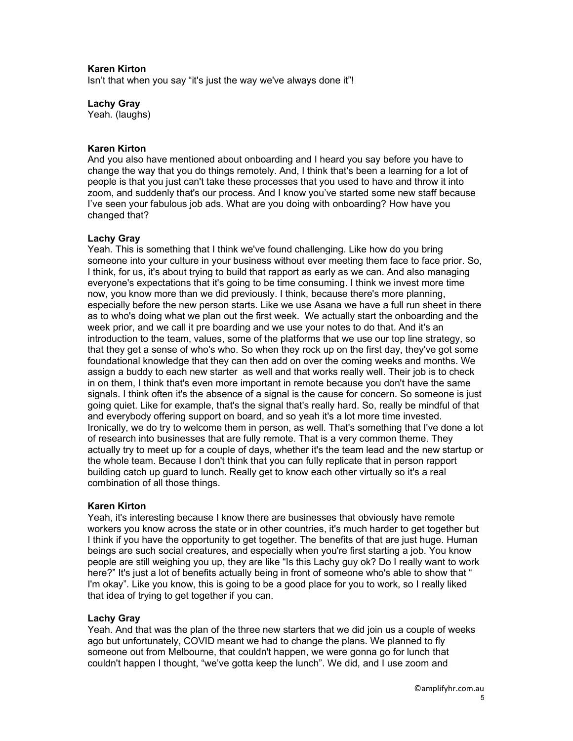# Karen Kirton

Isn't that when you say "it's just the way we've always done it"!

## Lachy Gray

Yeah. (laughs)

### Karen Kirton

And you also have mentioned about onboarding and I heard you say before you have to change the way that you do things remotely. And, I think that's been a learning for a lot of people is that you just can't take these processes that you used to have and throw it into zoom, and suddenly that's our process. And I know you've started some new staff because I've seen your fabulous job ads. What are you doing with onboarding? How have you changed that?

## Lachy Gray

Yeah. This is something that I think we've found challenging. Like how do you bring someone into your culture in your business without ever meeting them face to face prior. So, I think, for us, it's about trying to build that rapport as early as we can. And also managing everyone's expectations that it's going to be time consuming. I think we invest more time now, you know more than we did previously. I think, because there's more planning, especially before the new person starts. Like we use Asana we have a full run sheet in there as to who's doing what we plan out the first week. We actually start the onboarding and the week prior, and we call it pre boarding and we use your notes to do that. And it's an introduction to the team, values, some of the platforms that we use our top line strategy, so that they get a sense of who's who. So when they rock up on the first day, they've got some foundational knowledge that they can then add on over the coming weeks and months. We assign a buddy to each new starter as well and that works really well. Their job is to check in on them, I think that's even more important in remote because you don't have the same signals. I think often it's the absence of a signal is the cause for concern. So someone is just going quiet. Like for example, that's the signal that's really hard. So, really be mindful of that and everybody offering support on board, and so yeah it's a lot more time invested. Ironically, we do try to welcome them in person, as well. That's something that I've done a lot of research into businesses that are fully remote. That is a very common theme. They actually try to meet up for a couple of days, whether it's the team lead and the new startup or the whole team. Because I don't think that you can fully replicate that in person rapport building catch up guard to lunch. Really get to know each other virtually so it's a real combination of all those things.

#### Karen Kirton

Yeah, it's interesting because I know there are businesses that obviously have remote workers you know across the state or in other countries, it's much harder to get together but I think if you have the opportunity to get together. The benefits of that are just huge. Human beings are such social creatures, and especially when you're first starting a job. You know people are still weighing you up, they are like "Is this Lachy guy ok? Do I really want to work here?" It's just a lot of benefits actually being in front of someone who's able to show that " I'm okay". Like you know, this is going to be a good place for you to work, so I really liked that idea of trying to get together if you can.

#### Lachy Gray

Yeah. And that was the plan of the three new starters that we did join us a couple of weeks ago but unfortunately, COVID meant we had to change the plans. We planned to fly someone out from Melbourne, that couldn't happen, we were gonna go for lunch that couldn't happen I thought, "we've gotta keep the lunch". We did, and I use zoom and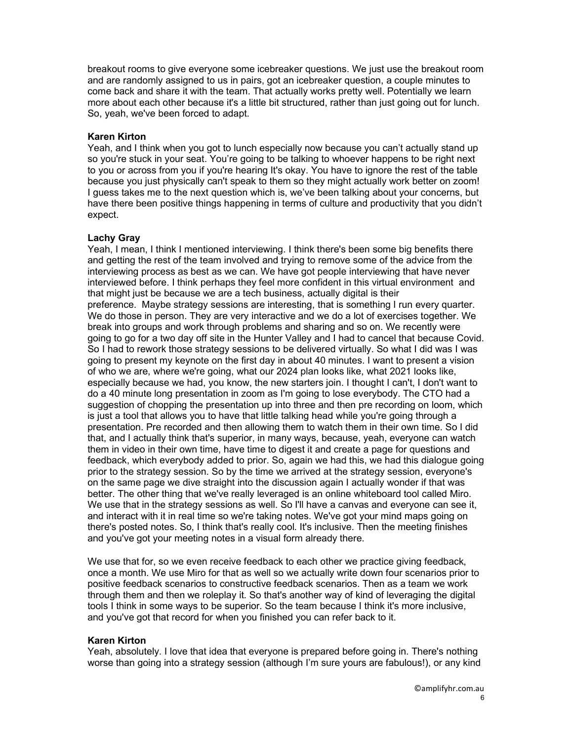breakout rooms to give everyone some icebreaker questions. We just use the breakout room and are randomly assigned to us in pairs, got an icebreaker question, a couple minutes to come back and share it with the team. That actually works pretty well. Potentially we learn more about each other because it's a little bit structured, rather than just going out for lunch. So, yeah, we've been forced to adapt.

## Karen Kirton

Yeah, and I think when you got to lunch especially now because you can't actually stand up so you're stuck in your seat. You're going to be talking to whoever happens to be right next to you or across from you if you're hearing It's okay. You have to ignore the rest of the table because you just physically can't speak to them so they might actually work better on zoom! I guess takes me to the next question which is, we've been talking about your concerns, but have there been positive things happening in terms of culture and productivity that you didn't expect.

## Lachy Gray

Yeah, I mean, I think I mentioned interviewing. I think there's been some big benefits there and getting the rest of the team involved and trying to remove some of the advice from the interviewing process as best as we can. We have got people interviewing that have never interviewed before. I think perhaps they feel more confident in this virtual environment and that might just be because we are a tech business, actually digital is their preference. Maybe strategy sessions are interesting, that is something I run every quarter. We do those in person. They are very interactive and we do a lot of exercises together. We break into groups and work through problems and sharing and so on. We recently were going to go for a two day off site in the Hunter Valley and I had to cancel that because Covid. So I had to rework those strategy sessions to be delivered virtually. So what I did was I was going to present my keynote on the first day in about 40 minutes. I want to present a vision of who we are, where we're going, what our 2024 plan looks like, what 2021 looks like, especially because we had, you know, the new starters join. I thought I can't, I don't want to do a 40 minute long presentation in zoom as I'm going to lose everybody. The CTO had a suggestion of chopping the presentation up into three and then pre recording on loom, which is just a tool that allows you to have that little talking head while you're going through a presentation. Pre recorded and then allowing them to watch them in their own time. So I did that, and I actually think that's superior, in many ways, because, yeah, everyone can watch them in video in their own time, have time to digest it and create a page for questions and feedback, which everybody added to prior. So, again we had this, we had this dialogue going prior to the strategy session. So by the time we arrived at the strategy session, everyone's on the same page we dive straight into the discussion again I actually wonder if that was better. The other thing that we've really leveraged is an online whiteboard tool called Miro. We use that in the strategy sessions as well. So I'll have a canvas and everyone can see it, and interact with it in real time so we're taking notes. We've got your mind maps going on there's posted notes. So, I think that's really cool. It's inclusive. Then the meeting finishes and you've got your meeting notes in a visual form already there.

We use that for, so we even receive feedback to each other we practice giving feedback, once a month. We use Miro for that as well so we actually write down four scenarios prior to positive feedback scenarios to constructive feedback scenarios. Then as a team we work through them and then we roleplay it. So that's another way of kind of leveraging the digital tools I think in some ways to be superior. So the team because I think it's more inclusive, and you've got that record for when you finished you can refer back to it.

#### Karen Kirton

Yeah, absolutely. I love that idea that everyone is prepared before going in. There's nothing worse than going into a strategy session (although I'm sure yours are fabulous!), or any kind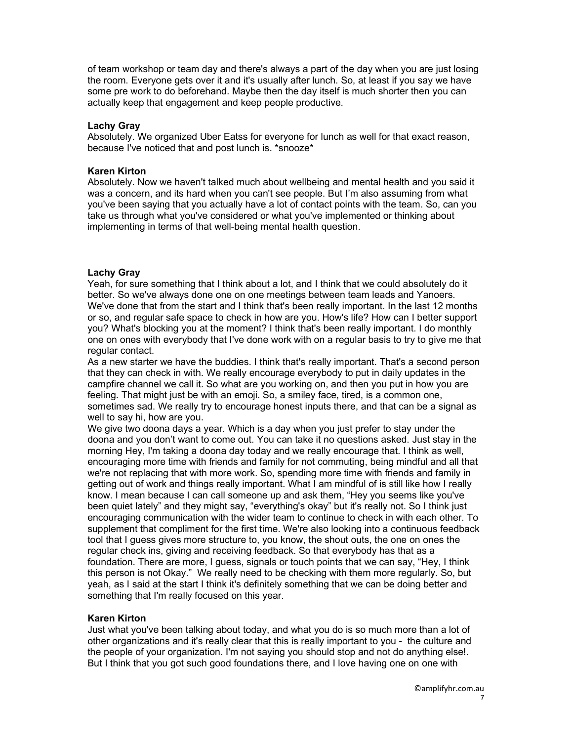of team workshop or team day and there's always a part of the day when you are just losing the room. Everyone gets over it and it's usually after lunch. So, at least if you say we have some pre work to do beforehand. Maybe then the day itself is much shorter then you can actually keep that engagement and keep people productive.

### Lachy Gray

Absolutely. We organized Uber Eatss for everyone for lunch as well for that exact reason, because I've noticed that and post lunch is. \*snooze\*

### Karen Kirton

Absolutely. Now we haven't talked much about wellbeing and mental health and you said it was a concern, and its hard when you can't see people. But I'm also assuming from what you've been saying that you actually have a lot of contact points with the team. So, can you take us through what you've considered or what you've implemented or thinking about implementing in terms of that well-being mental health question.

# Lachy Gray

Yeah, for sure something that I think about a lot, and I think that we could absolutely do it better. So we've always done one on one meetings between team leads and Yanoers. We've done that from the start and I think that's been really important. In the last 12 months or so, and regular safe space to check in how are you. How's life? How can I better support you? What's blocking you at the moment? I think that's been really important. I do monthly one on ones with everybody that I've done work with on a regular basis to try to give me that regular contact.

As a new starter we have the buddies. I think that's really important. That's a second person that they can check in with. We really encourage everybody to put in daily updates in the campfire channel we call it. So what are you working on, and then you put in how you are feeling. That might just be with an emoji. So, a smiley face, tired, is a common one, sometimes sad. We really try to encourage honest inputs there, and that can be a signal as well to say hi, how are you.

We give two doona days a year. Which is a day when you just prefer to stay under the doona and you don't want to come out. You can take it no questions asked. Just stay in the morning Hey, I'm taking a doona day today and we really encourage that. I think as well, encouraging more time with friends and family for not commuting, being mindful and all that we're not replacing that with more work. So, spending more time with friends and family in getting out of work and things really important. What I am mindful of is still like how I really know. I mean because I can call someone up and ask them, "Hey you seems like you've been quiet lately" and they might say, "everything's okay" but it's really not. So I think just encouraging communication with the wider team to continue to check in with each other. To supplement that compliment for the first time. We're also looking into a continuous feedback tool that I guess gives more structure to, you know, the shout outs, the one on ones the regular check ins, giving and receiving feedback. So that everybody has that as a foundation. There are more, I guess, signals or touch points that we can say, "Hey, I think this person is not Okay." We really need to be checking with them more regularly. So, but yeah, as I said at the start I think it's definitely something that we can be doing better and something that I'm really focused on this year.

#### Karen Kirton

Just what you've been talking about today, and what you do is so much more than a lot of other organizations and it's really clear that this is really important to you - the culture and the people of your organization. I'm not saying you should stop and not do anything else!. But I think that you got such good foundations there, and I love having one on one with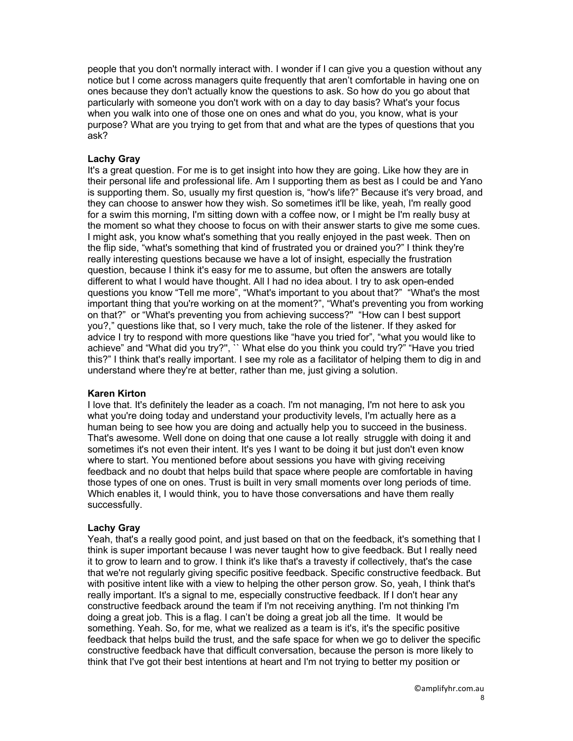people that you don't normally interact with. I wonder if I can give you a question without any notice but I come across managers quite frequently that aren't comfortable in having one on ones because they don't actually know the questions to ask. So how do you go about that particularly with someone you don't work with on a day to day basis? What's your focus when you walk into one of those one on ones and what do you, you know, what is your purpose? What are you trying to get from that and what are the types of questions that you ask?

### Lachy Gray

It's a great question. For me is to get insight into how they are going. Like how they are in their personal life and professional life. Am I supporting them as best as I could be and Yano is supporting them. So, usually my first question is, "how's life?" Because it's very broad, and they can choose to answer how they wish. So sometimes it'll be like, yeah, I'm really good for a swim this morning, I'm sitting down with a coffee now, or I might be I'm really busy at the moment so what they choose to focus on with their answer starts to give me some cues. I might ask, you know what's something that you really enjoyed in the past week. Then on the flip side, "what's something that kind of frustrated you or drained you?" I think they're really interesting questions because we have a lot of insight, especially the frustration question, because I think it's easy for me to assume, but often the answers are totally different to what I would have thought. All I had no idea about. I try to ask open-ended questions you know "Tell me more", "What's important to you about that?" "What's the most important thing that you're working on at the moment?", "What's preventing you from working on that?" or "What's preventing you from achieving success?'' "How can I best support you?," questions like that, so I very much, take the role of the listener. If they asked for advice I try to respond with more questions like "have you tried for", "what you would like to achieve" and "What did you try?'', `` What else do you think you could try?" "Have you tried this?" I think that's really important. I see my role as a facilitator of helping them to dig in and understand where they're at better, rather than me, just giving a solution.

#### Karen Kirton

I love that. It's definitely the leader as a coach. I'm not managing, I'm not here to ask you what you're doing today and understand your productivity levels, I'm actually here as a human being to see how you are doing and actually help you to succeed in the business. That's awesome. Well done on doing that one cause a lot really struggle with doing it and sometimes it's not even their intent. It's yes I want to be doing it but just don't even know where to start. You mentioned before about sessions you have with giving receiving feedback and no doubt that helps build that space where people are comfortable in having those types of one on ones. Trust is built in very small moments over long periods of time. Which enables it, I would think, you to have those conversations and have them really successfully.

#### Lachy Gray

Yeah, that's a really good point, and just based on that on the feedback, it's something that I think is super important because I was never taught how to give feedback. But I really need it to grow to learn and to grow. I think it's like that's a travesty if collectively, that's the case that we're not regularly giving specific positive feedback. Specific constructive feedback. But with positive intent like with a view to helping the other person grow. So, yeah, I think that's really important. It's a signal to me, especially constructive feedback. If I don't hear any constructive feedback around the team if I'm not receiving anything. I'm not thinking I'm doing a great job. This is a flag. I can't be doing a great job all the time. It would be something. Yeah. So, for me, what we realized as a team is it's, it's the specific positive feedback that helps build the trust, and the safe space for when we go to deliver the specific constructive feedback have that difficult conversation, because the person is more likely to think that I've got their best intentions at heart and I'm not trying to better my position or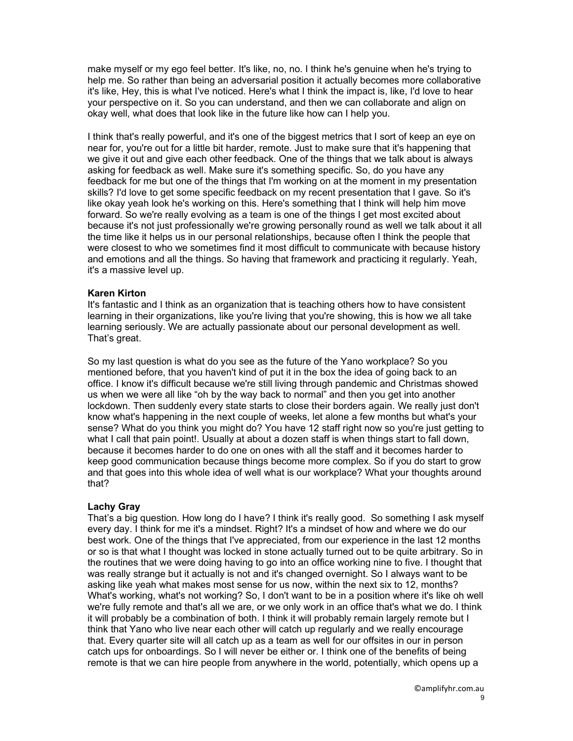make myself or my ego feel better. It's like, no, no. I think he's genuine when he's trying to help me. So rather than being an adversarial position it actually becomes more collaborative it's like, Hey, this is what I've noticed. Here's what I think the impact is, like, I'd love to hear your perspective on it. So you can understand, and then we can collaborate and align on okay well, what does that look like in the future like how can I help you.

I think that's really powerful, and it's one of the biggest metrics that I sort of keep an eye on near for, you're out for a little bit harder, remote. Just to make sure that it's happening that we give it out and give each other feedback. One of the things that we talk about is always asking for feedback as well. Make sure it's something specific. So, do you have any feedback for me but one of the things that I'm working on at the moment in my presentation skills? I'd love to get some specific feedback on my recent presentation that I gave. So it's like okay yeah look he's working on this. Here's something that I think will help him move forward. So we're really evolving as a team is one of the things I get most excited about because it's not just professionally we're growing personally round as well we talk about it all the time like it helps us in our personal relationships, because often I think the people that were closest to who we sometimes find it most difficult to communicate with because history and emotions and all the things. So having that framework and practicing it regularly. Yeah, it's a massive level up.

## Karen Kirton

It's fantastic and I think as an organization that is teaching others how to have consistent learning in their organizations, like you're living that you're showing, this is how we all take learning seriously. We are actually passionate about our personal development as well. That's great.

So my last question is what do you see as the future of the Yano workplace? So you mentioned before, that you haven't kind of put it in the box the idea of going back to an office. I know it's difficult because we're still living through pandemic and Christmas showed us when we were all like "oh by the way back to normal" and then you get into another lockdown. Then suddenly every state starts to close their borders again. We really just don't know what's happening in the next couple of weeks, let alone a few months but what's your sense? What do you think you might do? You have 12 staff right now so you're just getting to what I call that pain point!. Usually at about a dozen staff is when things start to fall down, because it becomes harder to do one on ones with all the staff and it becomes harder to keep good communication because things become more complex. So if you do start to grow and that goes into this whole idea of well what is our workplace? What your thoughts around that?

#### Lachy Gray

That's a big question. How long do I have? I think it's really good. So something I ask myself every day. I think for me it's a mindset. Right? It's a mindset of how and where we do our best work. One of the things that I've appreciated, from our experience in the last 12 months or so is that what I thought was locked in stone actually turned out to be quite arbitrary. So in the routines that we were doing having to go into an office working nine to five. I thought that was really strange but it actually is not and it's changed overnight. So I always want to be asking like yeah what makes most sense for us now, within the next six to 12, months? What's working, what's not working? So, I don't want to be in a position where it's like oh well we're fully remote and that's all we are, or we only work in an office that's what we do. I think it will probably be a combination of both. I think it will probably remain largely remote but I think that Yano who live near each other will catch up regularly and we really encourage that. Every quarter site will all catch up as a team as well for our offsites in our in person catch ups for onboardings. So I will never be either or. I think one of the benefits of being remote is that we can hire people from anywhere in the world, potentially, which opens up a